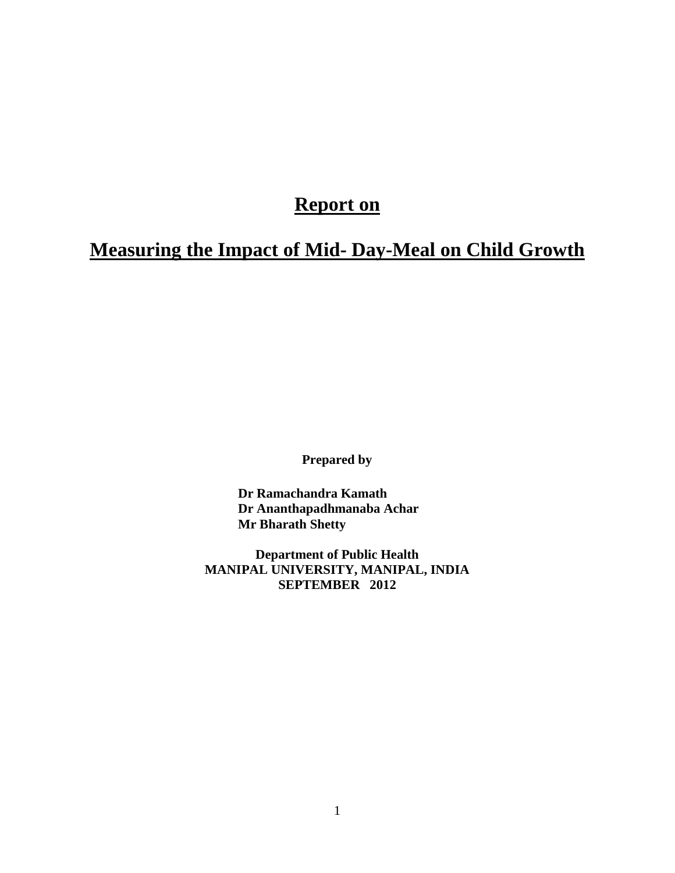# **Report on**

# **Measuring the Impact of Mid- Day-Meal on Child Growth**

**Prepared by**

**Dr Ramachandra Kamath Dr Ananthapadhmanaba Achar Mr Bharath Shetty**

**Department of Public Health MANIPAL UNIVERSITY, MANIPAL, INDIA SEPTEMBER 2012**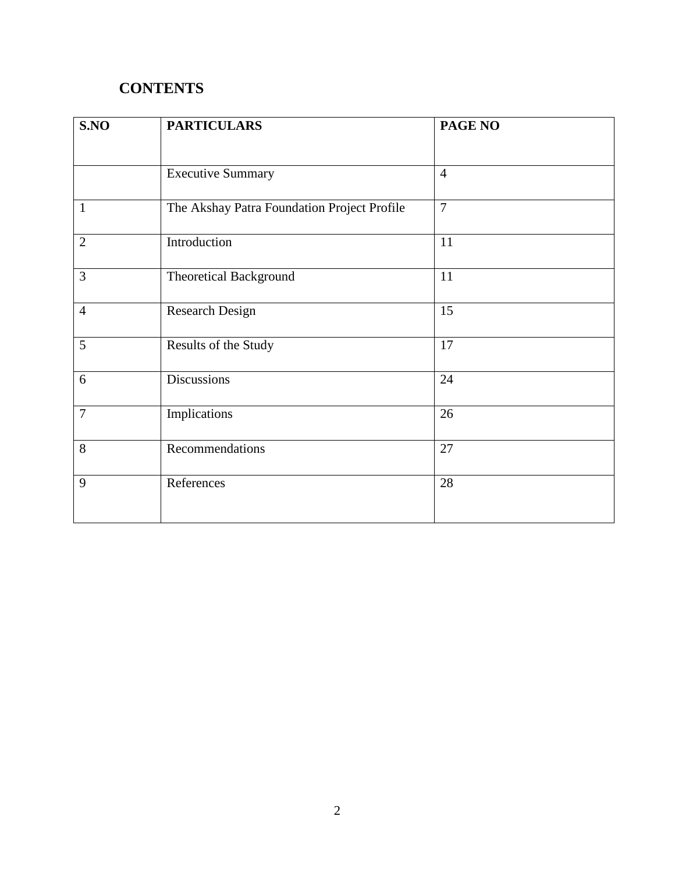# **CONTENTS**

| S.NO           | <b>PARTICULARS</b>                          | PAGE NO        |
|----------------|---------------------------------------------|----------------|
|                | <b>Executive Summary</b>                    | $\overline{4}$ |
| $\mathbf{1}$   | The Akshay Patra Foundation Project Profile | $\overline{7}$ |
| $\overline{2}$ | Introduction                                | 11             |
| 3              | <b>Theoretical Background</b>               | 11             |
| $\overline{4}$ | <b>Research Design</b>                      | 15             |
| 5              | Results of the Study                        | 17             |
| 6              | <b>Discussions</b>                          | 24             |
| $\overline{7}$ | Implications                                | 26             |
| 8              | Recommendations                             | 27             |
| 9              | References                                  | 28             |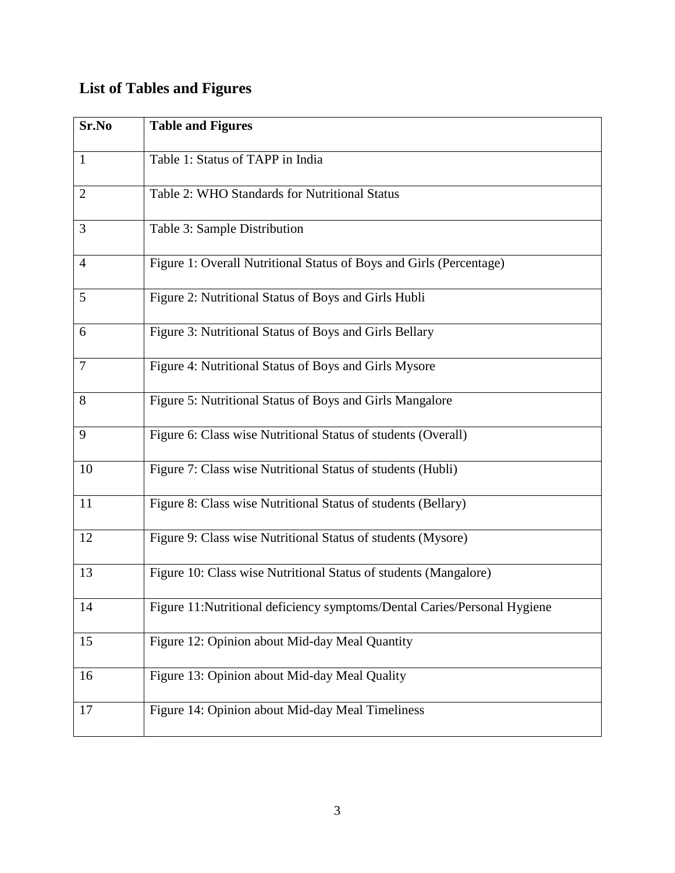# **List of Tables and Figures**

| Sr.No          | <b>Table and Figures</b>                                                 |
|----------------|--------------------------------------------------------------------------|
| 1              | Table 1: Status of TAPP in India                                         |
| $\overline{2}$ | Table 2: WHO Standards for Nutritional Status                            |
| 3              | Table 3: Sample Distribution                                             |
| $\overline{4}$ | Figure 1: Overall Nutritional Status of Boys and Girls (Percentage)      |
| 5              | Figure 2: Nutritional Status of Boys and Girls Hubli                     |
| 6              | Figure 3: Nutritional Status of Boys and Girls Bellary                   |
| 7              | Figure 4: Nutritional Status of Boys and Girls Mysore                    |
| 8              | Figure 5: Nutritional Status of Boys and Girls Mangalore                 |
| 9              | Figure 6: Class wise Nutritional Status of students (Overall)            |
| 10             | Figure 7: Class wise Nutritional Status of students (Hubli)              |
| 11             | Figure 8: Class wise Nutritional Status of students (Bellary)            |
| 12             | Figure 9: Class wise Nutritional Status of students (Mysore)             |
| 13             | Figure 10: Class wise Nutritional Status of students (Mangalore)         |
| 14             | Figure 11:Nutritional deficiency symptoms/Dental Caries/Personal Hygiene |
| 15             | Figure 12: Opinion about Mid-day Meal Quantity                           |
| 16             | Figure 13: Opinion about Mid-day Meal Quality                            |
| 17             | Figure 14: Opinion about Mid-day Meal Timeliness                         |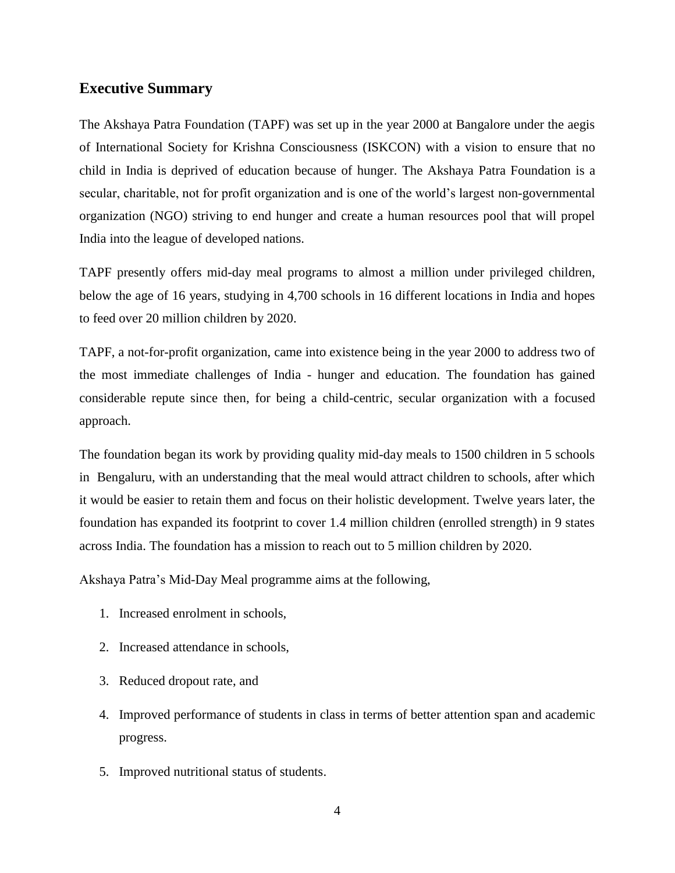## **Executive Summary**

The Akshaya Patra Foundation (TAPF) was set up in the year 2000 at Bangalore under the aegis of International Society for Krishna Consciousness (ISKCON) with a vision to ensure that no child in India is deprived of education because of hunger. The Akshaya Patra Foundation is a secular, charitable, not for profit organization and is one of the world's largest non-governmental organization (NGO) striving to end hunger and create a human resources pool that will propel India into the league of developed nations.

TAPF presently offers mid-day meal programs to almost a million under privileged children, below the age of 16 years, studying in 4,700 schools in 16 different locations in India and hopes to feed over 20 million children by 2020.

TAPF, a not-for-profit organization, came into existence being in the year 2000 to address two of the most immediate challenges of India - hunger and education. The foundation has gained considerable repute since then, for being a child-centric, secular organization with a focused approach.

The foundation began its work by providing quality mid-day meals to 1500 children in 5 schools in Bengaluru, with an understanding that the meal would attract children to schools, after which it would be easier to retain them and focus on their holistic development. Twelve years later, the foundation has expanded its footprint to cover 1.4 million children (enrolled strength) in 9 states across India. The foundation has a mission to reach out to 5 million children by 2020.

Akshaya Patra's Mid-Day Meal programme aims at the following,

- 1. Increased enrolment in schools,
- 2. Increased attendance in schools,
- 3. Reduced dropout rate, and
- 4. Improved performance of students in class in terms of better attention span and academic progress.
- 5. Improved nutritional status of students.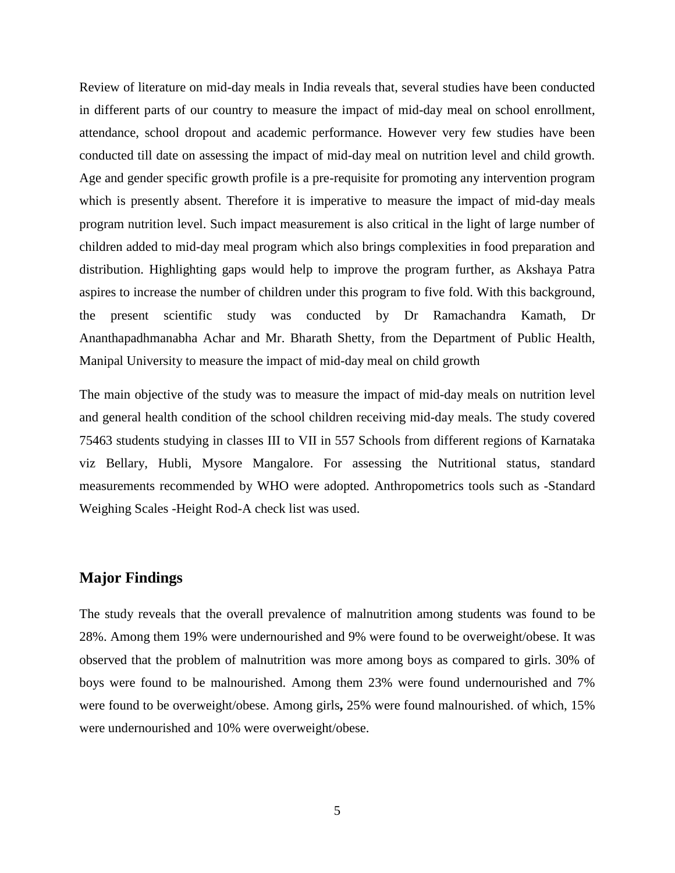Review of literature on mid-day meals in India reveals that, several studies have been conducted in different parts of our country to measure the impact of mid-day meal on school enrollment, attendance, school dropout and academic performance. However very few studies have been conducted till date on assessing the impact of mid-day meal on nutrition level and child growth. Age and gender specific growth profile is a pre-requisite for promoting any intervention program which is presently absent. Therefore it is imperative to measure the impact of mid-day meals program nutrition level. Such impact measurement is also critical in the light of large number of children added to mid-day meal program which also brings complexities in food preparation and distribution. Highlighting gaps would help to improve the program further, as Akshaya Patra aspires to increase the number of children under this program to five fold. With this background, the present scientific study was conducted by Dr Ramachandra Kamath, Dr Ananthapadhmanabha Achar and Mr. Bharath Shetty, from the Department of Public Health, Manipal University to measure the impact of mid-day meal on child growth

The main objective of the study was to measure the impact of mid-day meals on nutrition level and general health condition of the school children receiving mid-day meals. The study covered 75463 students studying in classes III to VII in 557 Schools from different regions of Karnataka viz Bellary, Hubli, Mysore Mangalore. For assessing the Nutritional status, standard measurements recommended by WHO were adopted. Anthropometrics tools such as -Standard Weighing Scales -Height Rod-A check list was used.

## **Major Findings**

The study reveals that the overall prevalence of malnutrition among students was found to be 28%. Among them 19% were undernourished and 9% were found to be overweight/obese. It was observed that the problem of malnutrition was more among boys as compared to girls. 30% of boys were found to be malnourished. Among them 23% were found undernourished and 7% were found to be overweight/obese. Among girls**,** 25% were found malnourished. of which, 15% were undernourished and 10% were overweight/obese.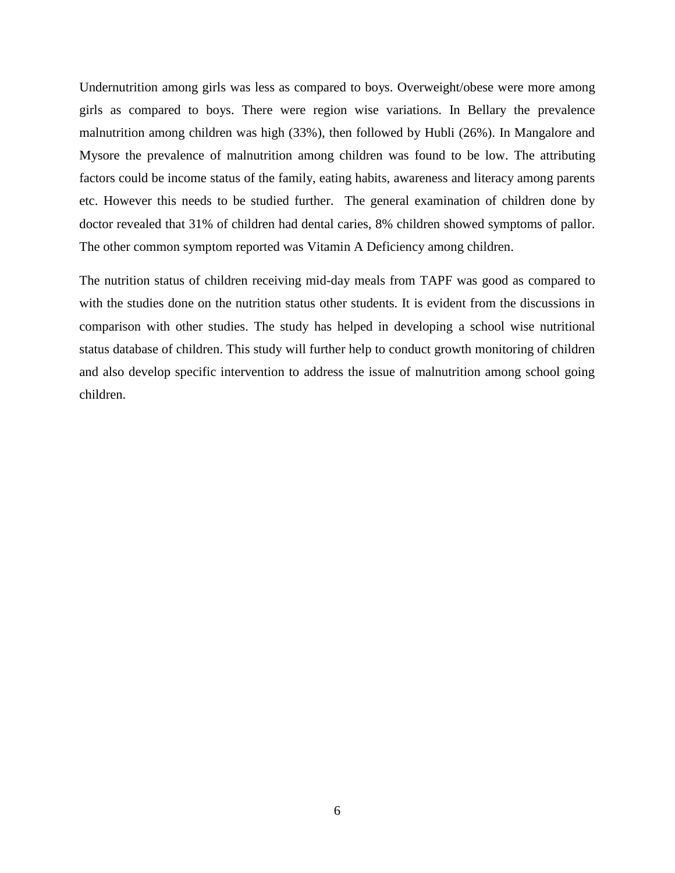Undernutrition among girls was less as compared to boys. Overweight/obese were more among girls as compared to boys. There were region wise variations. In Bellary the prevalence malnutrition among children was high (33%), then followed by Hubli (26%). In Mangalore and Mysore the prevalence of malnutrition among children was found to be low. The attributing factors could be income status of the family, eating habits, awareness and literacy among parents etc. However this needs to be studied further. The general examination of children done by doctor revealed that 31% of children had dental caries, 8% children showed symptoms of pallor. The other common symptom reported was Vitamin A Deficiency among children.

The nutrition status of children receiving mid-day meals from TAPF was good as compared to with the studies done on the nutrition status other students. It is evident from the discussions in comparison with other studies. The study has helped in developing a school wise nutritional status database of children. This study will further help to conduct growth monitoring of children and also develop specific intervention to address the issue of malnutrition among school going children.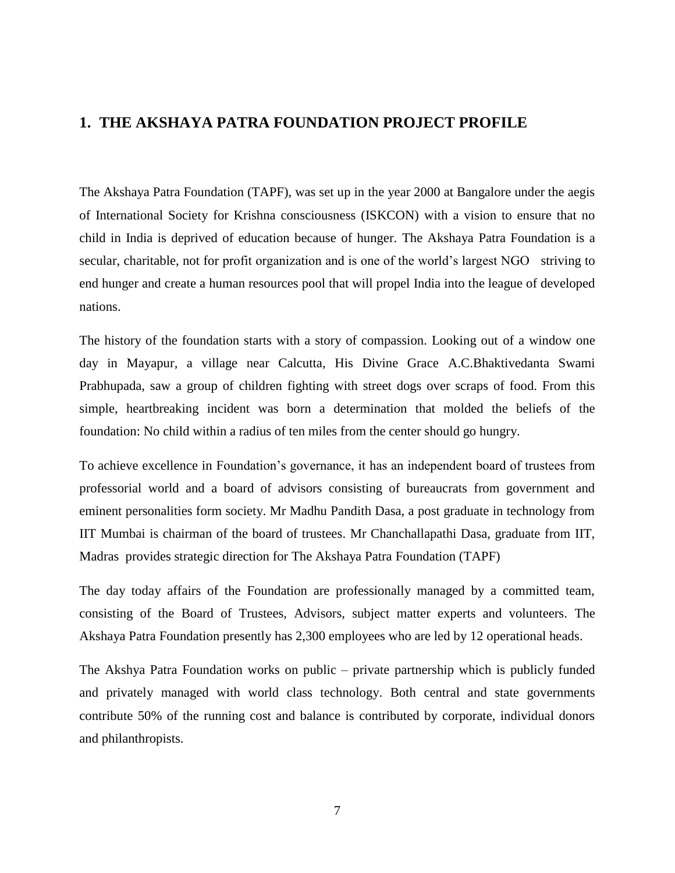# **1. THE AKSHAYA PATRA FOUNDATION PROJECT PROFILE**

The Akshaya Patra Foundation (TAPF), was set up in the year 2000 at Bangalore under the aegis of International Society for Krishna consciousness (ISKCON) with a vision to ensure that no child in India is deprived of education because of hunger. The Akshaya Patra Foundation is a secular, charitable, not for profit organization and is one of the world's largest NGO striving to end hunger and create a human resources pool that will propel India into the league of developed nations.

The history of the foundation starts with a story of compassion. Looking out of a window one day in Mayapur, a village near Calcutta, His Divine Grace [A.C.Bhaktivedanta Swami](http://en.wikipedia.org/wiki/A._C._Bhaktivedanta_Swami_Prabhupada)  [Prabhupada,](http://en.wikipedia.org/wiki/A._C._Bhaktivedanta_Swami_Prabhupada) saw a group of children fighting with street dogs over scraps of food. From this simple, heartbreaking incident was born a determination that molded the beliefs of the foundation: No child within a radius of ten miles from the center should go hungry.

To achieve excellence in Foundation's governance, it has an independent board of trustees from professorial world and a board of advisors consisting of bureaucrats from government and eminent personalities form society. Mr Madhu Pandith Dasa, a post graduate in technology from IIT Mumbai is chairman of the board of trustees. Mr Chanchallapathi Dasa, graduate from IIT, Madras provides strategic direction for The Akshaya Patra Foundation (TAPF)

The day today affairs of the Foundation are professionally managed by a committed team, consisting of the Board of Trustees, Advisors, subject matter experts and volunteers. The Akshaya Patra Foundation presently has 2,300 employees who are led by 12 operational heads.

The Akshya Patra Foundation works on public – private partnership which is publicly funded and privately managed with world class technology. Both central and state governments contribute 50% of the running cost and balance is contributed by corporate, individual donors and philanthropists.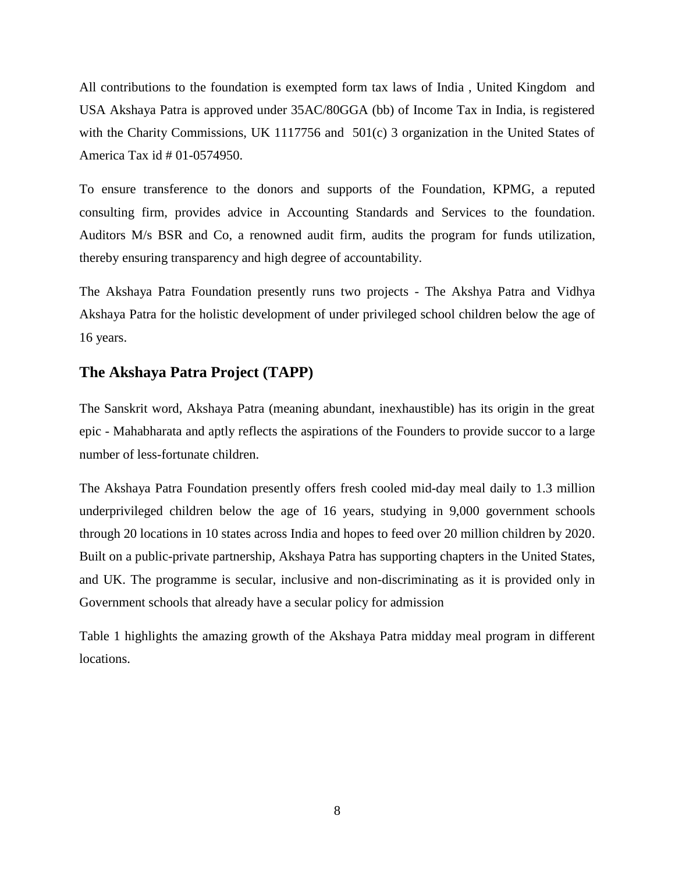All contributions to the foundation is exempted form tax laws of India , United Kingdom and USA Akshaya Patra is approved under 35AC/80GGA (bb) of Income Tax in India, is registered with the Charity Commissions, UK 1117756 and 501(c) 3 organization in the United States of America Tax id # 01-0574950.

To ensure transference to the donors and supports of the Foundation, KPMG, a reputed consulting firm, provides advice in Accounting Standards and Services to the foundation. Auditors M/s BSR and Co, a renowned audit firm, audits the program for funds utilization, thereby ensuring transparency and high degree of accountability.

The Akshaya Patra Foundation presently runs two projects - The Akshya Patra and Vidhya Akshaya Patra for the holistic development of under privileged school children below the age of 16 years.

## **The Akshaya Patra Project (TAPP)**

The Sanskrit word, Akshaya Patra (meaning abundant, inexhaustible) has its origin in the great epic - Mahabharata and aptly reflects the aspirations of the Founders to provide succor to a large number of less-fortunate children.

The Akshaya Patra Foundation presently offers fresh cooled mid-day meal daily to 1.3 million underprivileged children below the age of 16 years, studying in 9,000 government schools through 20 locations in 10 states across India and hopes to feed over 20 million children by 2020. Built on a public-private partnership, Akshaya Patra has supporting chapters in the [United States,](http://en.wikipedia.org/wiki/United_States) and [UK.](http://en.wikipedia.org/wiki/UK) The programme is secular, inclusive and non-discriminating as it is provided only in Government schools that already have a secular policy for admission

Table 1 highlights the amazing growth of the Akshaya Patra midday meal program in different locations.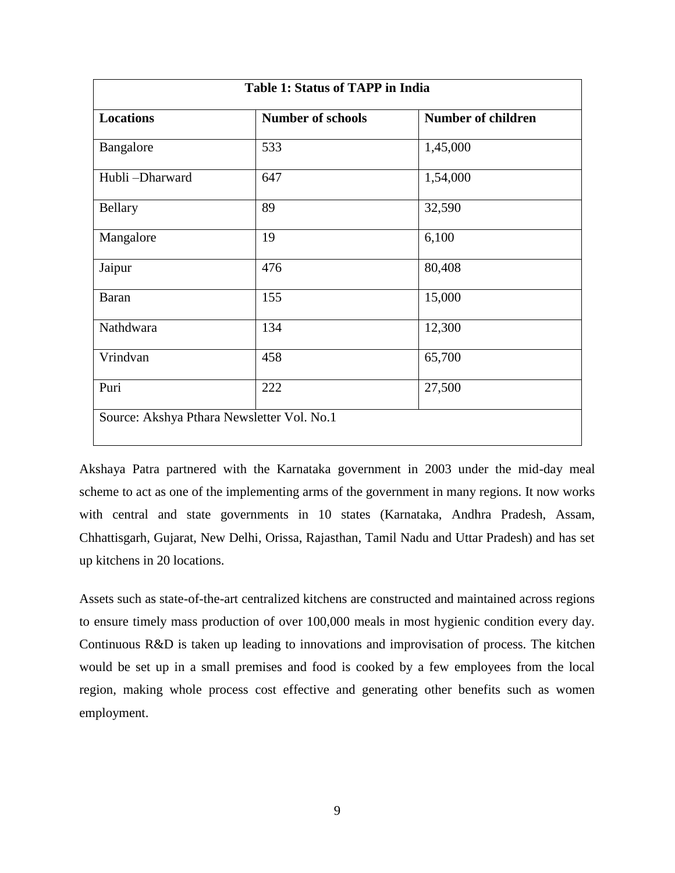| <b>Table 1: Status of TAPP in India</b> |                          |                           |  |  |
|-----------------------------------------|--------------------------|---------------------------|--|--|
| <b>Locations</b>                        | <b>Number of schools</b> | <b>Number of children</b> |  |  |
| Bangalore                               | 533                      | 1,45,000                  |  |  |
| Hubli-Dharward                          | 647                      | 1,54,000                  |  |  |
| <b>Bellary</b>                          | 89                       | 32,590                    |  |  |
| Mangalore                               | 19                       | 6,100                     |  |  |
| Jaipur                                  | 476                      | 80,408                    |  |  |
| <b>Baran</b>                            | 155                      | 15,000                    |  |  |
| Nathdwara                               | 134                      | 12,300                    |  |  |
| Vrindvan                                | 458                      | 65,700                    |  |  |
| Puri                                    | 222                      | 27,500                    |  |  |

Akshaya Patra partnered with the Karnataka government in 2003 under the mid-day meal scheme to act as one of the implementing arms of the government in many regions. It now works with central and state governments in 10 states (Karnataka, Andhra Pradesh, Assam, Chhattisgarh, Gujarat, New Delhi, Orissa, Rajasthan, Tamil Nadu and Uttar Pradesh) and has set up kitchens in 20 locations.

Assets such as state-of-the-art centralized kitchens are constructed and maintained across regions to ensure timely mass production of over 100,000 meals in most hygienic condition every day. Continuous R&D is taken up leading to innovations and improvisation of process. The kitchen would be set up in a small premises and food is cooked by a few employees from the local region, making whole process cost effective and generating other benefits such as women employment.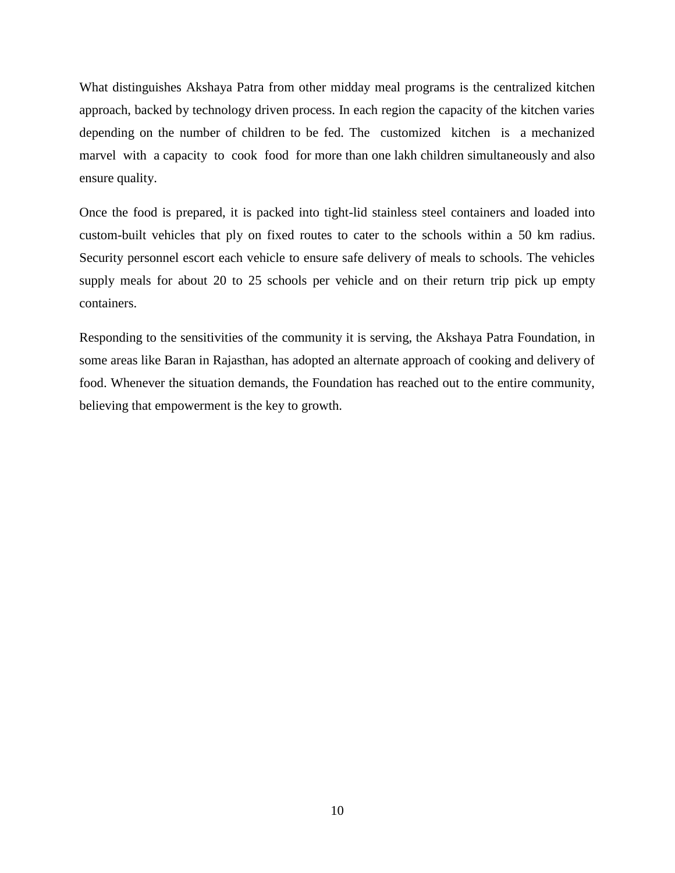What distinguishes Akshaya Patra from other midday meal programs is the centralized kitchen approach, backed by technology driven process. In each region the capacity of the kitchen varies depending on the number of children to be fed. The customized kitchen is a mechanized marvel with a capacity to cook food for more than one lakh children simultaneously and also ensure quality.

Once the food is prepared, it is packed into tight-lid stainless steel containers and loaded into custom-built vehicles that ply on fixed routes to cater to the schools within a 50 km radius. Security personnel escort each vehicle to ensure safe delivery of meals to schools. The vehicles supply meals for about 20 to 25 schools per vehicle and on their return trip pick up empty containers.

Responding to the sensitivities of the community it is serving, the Akshaya Patra Foundation, in some areas like Baran in Rajasthan, has adopted an alternate approach of cooking and delivery of food. Whenever the situation demands, the Foundation has reached out to the entire community, believing that empowerment is the key to growth.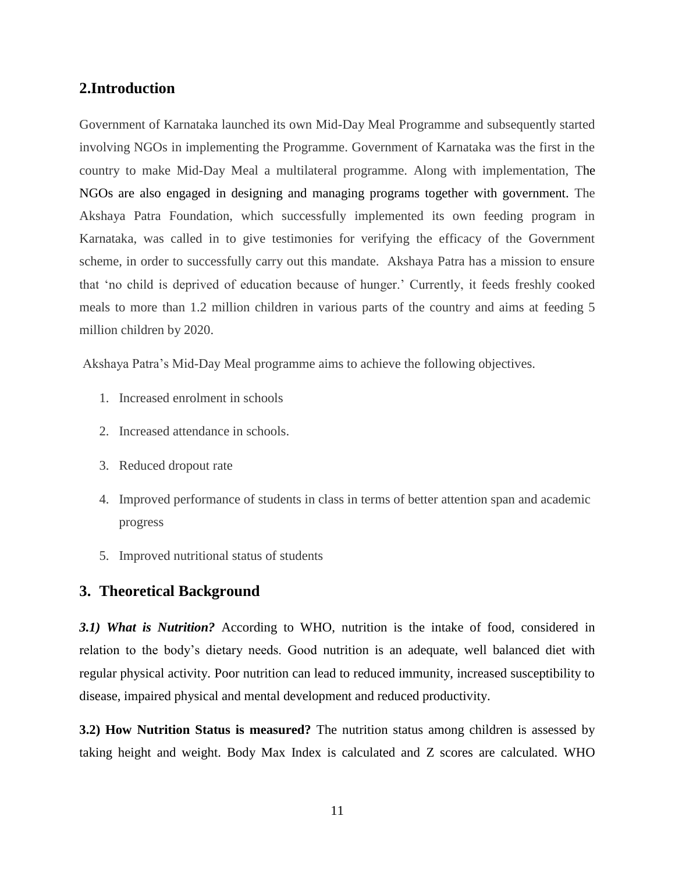### **2.Introduction**

Government of Karnataka launched its own Mid-Day Meal Programme and subsequently started involving NGOs in implementing the Programme. Government of Karnataka was the first in the country to make Mid-Day Meal a multilateral programme. Along with implementation, The NGOs are also engaged in designing and managing programs together with government. The Akshaya Patra Foundation, which successfully implemented its own feeding program in Karnataka, was called in to give testimonies for verifying the efficacy of the Government scheme, in order to successfully carry out this mandate. Akshaya Patra has a mission to ensure that 'no child is deprived of education because of hunger.' Currently, it feeds freshly cooked meals to more than 1.2 million children in various parts of the country and aims at feeding 5 million children by 2020.

Akshaya Patra's Mid-Day Meal programme aims to achieve the following objectives.

- 1. Increased enrolment in schools
- 2. Increased attendance in schools.
- 3. Reduced dropout rate
- 4. Improved performance of students in class in terms of better attention span and academic progress
- 5. Improved nutritional status of students

### **3. Theoretical Background**

*3.1) What is Nutrition?* According to WHO, nutrition is the intake of food, considered in relation to the body's dietary needs. Good nutrition is an adequate, well balanced diet with regular physical activity. Poor nutrition can lead to reduced immunity, increased susceptibility to disease, impaired physical and mental development and reduced productivity.

**3.2) How Nutrition Status is measured?** The nutrition status among children is assessed by taking height and weight. Body Max Index is calculated and Z scores are calculated. WHO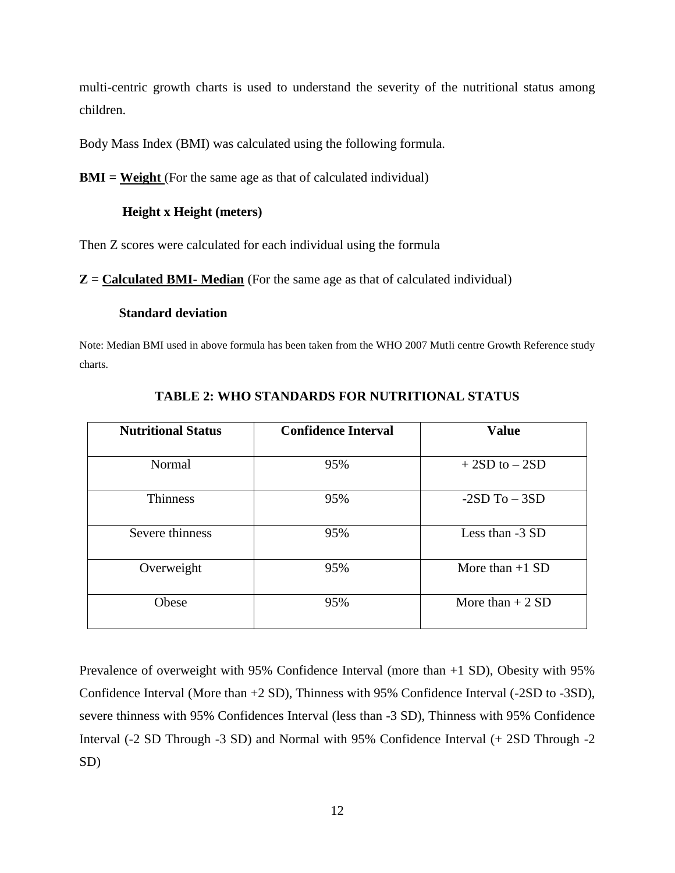multi-centric growth charts is used to understand the severity of the nutritional status among children.

Body Mass Index (BMI) was calculated using the following formula.

**BMI = Weight** (For the same age as that of calculated individual)

#### **Height x Height (meters)**

Then Z scores were calculated for each individual using the formula

**Z = Calculated BMI- Median** (For the same age as that of calculated individual)

#### **Standard deviation**

Note: Median BMI used in above formula has been taken from the WHO 2007 Mutli centre Growth Reference study charts.

| <b>Nutritional Status</b> | <b>Confidence Interval</b> | <b>Value</b>      |  |  |
|---------------------------|----------------------------|-------------------|--|--|
|                           |                            |                   |  |  |
| Normal                    | 95%                        | $+2SD$ to $-2SD$  |  |  |
| <b>Thinness</b>           | 95%                        | $-2SD$ To $-3SD$  |  |  |
| Severe thinness           | 95%                        | Less than -3 SD   |  |  |
| Overweight                | 95%                        | More than $+1$ SD |  |  |
| Obese                     | 95%                        | More than $+2$ SD |  |  |

**TABLE 2: WHO STANDARDS FOR NUTRITIONAL STATUS**

Prevalence of overweight with 95% Confidence Interval (more than +1 SD), Obesity with 95% Confidence Interval (More than +2 SD), Thinness with 95% Confidence Interval (-2SD to -3SD), severe thinness with 95% Confidences Interval (less than -3 SD), Thinness with 95% Confidence Interval (-2 SD Through -3 SD) and Normal with 95% Confidence Interval (+ 2SD Through -2 SD)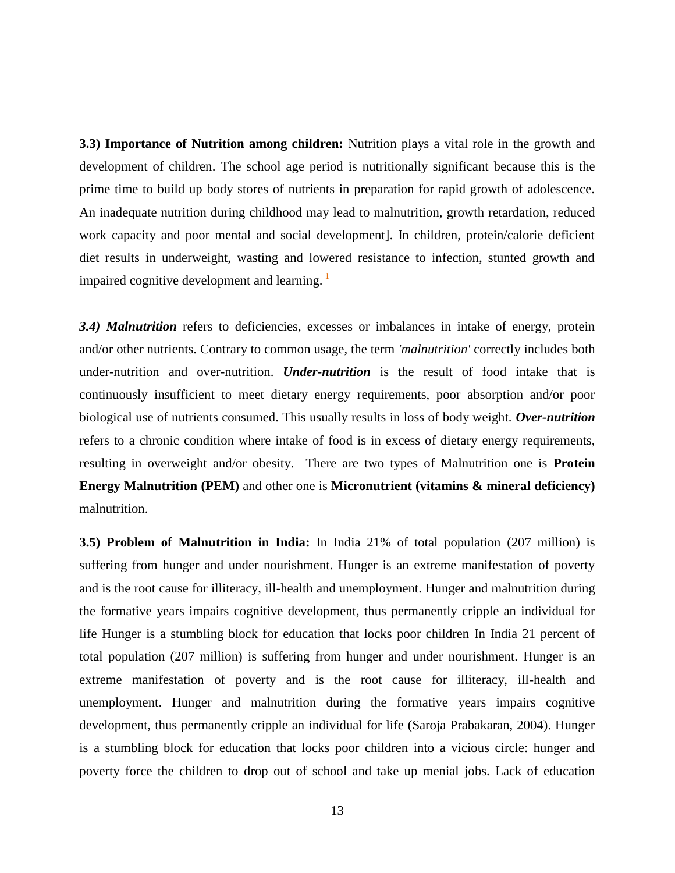**3.3) Importance of Nutrition among children:** Nutrition plays a vital role in the growth and development of children. The school age period is nutritionally significant because this is the prime time to build up body stores of nutrients in preparation for rapid growth of adolescence. An inadequate nutrition during childhood may lead to malnutrition, growth retardation, reduced work capacity and poor mental and social development]. In children, protein/calorie deficient diet results in underweight, wasting and lowered resistance to infection, stunted growth and impaired cognitive development and learning.<sup>1</sup>

3.4) Malnutrition refers to deficiencies, excesses or imbalances in intake of energy, protein and/or other nutrients. Contrary to common usage, the term *'malnutrition'* correctly includes both under-nutrition and over-nutrition. *Under-nutrition* is the result of food intake that is continuously insufficient to meet dietary energy requirements, poor absorption and/or poor biological use of nutrients consumed. This usually results in loss of body weight. *Over-nutrition*  refers to a chronic condition where intake of food is in excess of dietary energy requirements, resulting in overweight and/or obesity. There are two types of Malnutrition one is **Protein Energy Malnutrition (PEM)** and other one is **Micronutrient (vitamins & mineral deficiency)** malnutrition.

**3.5) Problem of Malnutrition in India:** In India 21% of total population (207 million) is suffering from hunger and under nourishment. Hunger is an extreme manifestation of poverty and is the root cause for illiteracy, ill-health and unemployment. Hunger and malnutrition during the formative years impairs cognitive development, thus permanently cripple an individual for life Hunger is a stumbling block for education that locks poor children In India 21 percent of total population (207 million) is suffering from hunger and under nourishment. Hunger is an extreme manifestation of poverty and is the root cause for illiteracy, ill-health and unemployment. Hunger and malnutrition during the formative years impairs cognitive development, thus permanently cripple an individual for life (Saroja Prabakaran, 2004). Hunger is a stumbling block for education that locks poor children into a vicious circle: hunger and poverty force the children to drop out of school and take up menial jobs. Lack of education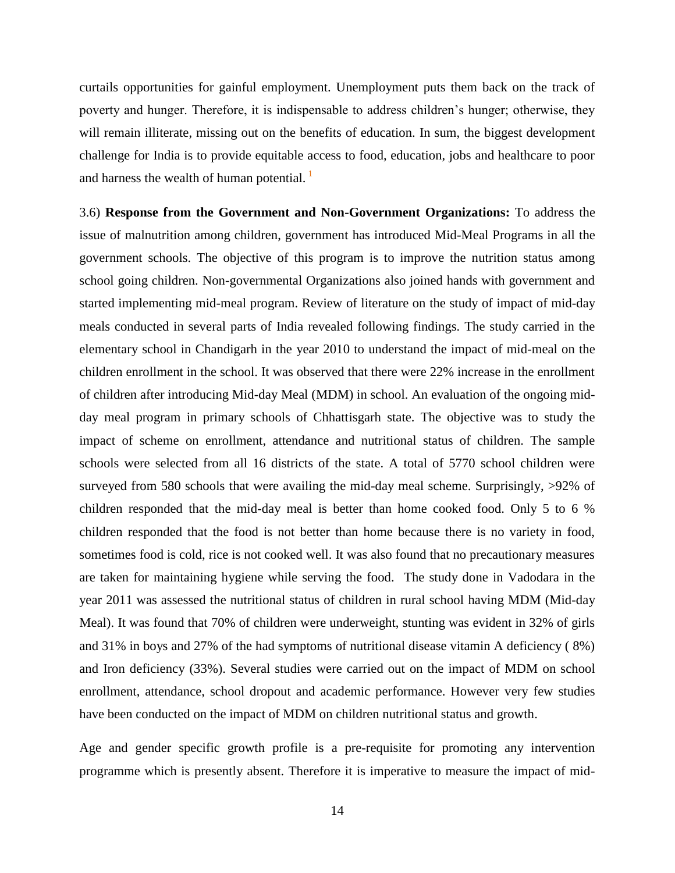curtails opportunities for gainful employment. Unemployment puts them back on the track of poverty and hunger. Therefore, it is indispensable to address children's hunger; otherwise, they will remain illiterate, missing out on the benefits of education. In sum, the biggest development challenge for India is to provide equitable access to food, education, jobs and healthcare to poor and harness the wealth of human potential.  $\frac{1}{1}$ 

3.6) **Response from the Government and Non-Government Organizations:** To address the issue of malnutrition among children, government has introduced Mid-Meal Programs in all the government schools. The objective of this program is to improve the nutrition status among school going children. Non-governmental Organizations also joined hands with government and started implementing mid-meal program. Review of literature on the study of impact of mid-day meals conducted in several parts of India revealed following findings. The study carried in the elementary school in Chandigarh in the year 2010 to understand the impact of mid-meal on the children enrollment in the school. It was observed that there were 22% increase in the enrollment of children after introducing Mid-day Meal (MDM) in school. An evaluation of the ongoing midday meal program in primary schools of Chhattisgarh state. The objective was to study the impact of scheme on enrollment, attendance and nutritional status of children. The sample schools were selected from all 16 districts of the state. A total of 5770 school children were surveyed from 580 schools that were availing the mid-day meal scheme. Surprisingly,  $>92\%$  of children responded that the mid-day meal is better than home cooked food. Only 5 to 6 % children responded that the food is not better than home because there is no variety in food, sometimes food is cold, rice is not cooked well. It was also found that no precautionary measures are taken for maintaining hygiene while serving the food. The study done in Vadodara in the year 2011 was assessed the nutritional status of children in rural school having MDM (Mid-day Meal). It was found that 70% of children were underweight, stunting was evident in 32% of girls and 31% in boys and 27% of the had symptoms of nutritional disease vitamin A deficiency ( 8%) and Iron deficiency (33%). Several studies were carried out on the impact of MDM on school enrollment, attendance, school dropout and academic performance. However very few studies have been conducted on the impact of MDM on children nutritional status and growth.

Age and gender specific growth profile is a pre-requisite for promoting any intervention programme which is presently absent. Therefore it is imperative to measure the impact of mid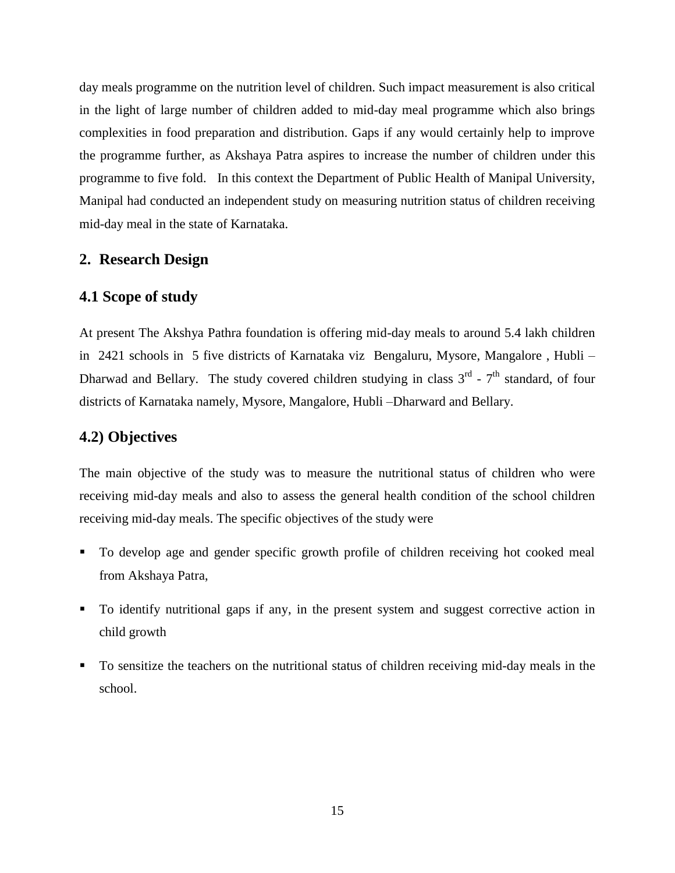day meals programme on the nutrition level of children. Such impact measurement is also critical in the light of large number of children added to mid-day meal programme which also brings complexities in food preparation and distribution. Gaps if any would certainly help to improve the programme further, as Akshaya Patra aspires to increase the number of children under this programme to five fold. In this context the Department of Public Health of Manipal University, Manipal had conducted an independent study on measuring nutrition status of children receiving mid-day meal in the state of Karnataka.

## **2. Research Design**

## **4.1 Scope of study**

At present The Akshya Pathra foundation is offering mid-day meals to around 5.4 lakh children in 2421 schools in 5 five districts of Karnataka viz Bengaluru, Mysore, Mangalore , Hubli – Dharwad and Bellary. The study covered children studying in class  $3^{rd}$  -  $7^{th}$  standard, of four districts of Karnataka namely, Mysore, Mangalore, Hubli –Dharward and Bellary.

## **4.2) Objectives**

The main objective of the study was to measure the nutritional status of children who were receiving mid-day meals and also to assess the general health condition of the school children receiving mid-day meals. The specific objectives of the study were

- To develop age and gender specific growth profile of children receiving hot cooked meal from Akshaya Patra,
- To identify nutritional gaps if any, in the present system and suggest corrective action in child growth
- To sensitize the teachers on the nutritional status of children receiving mid-day meals in the school.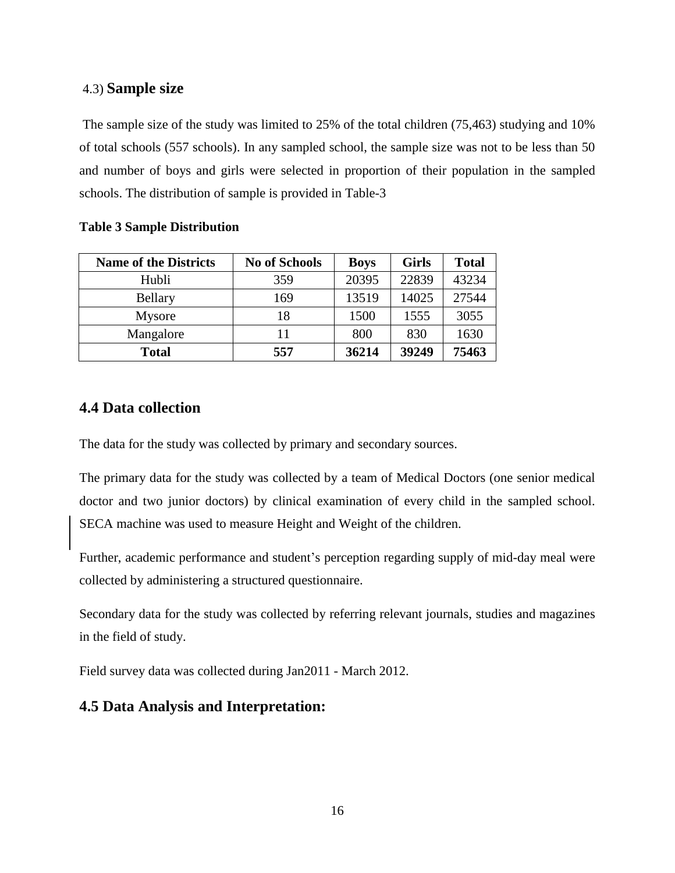## 4.3) **Sample size**

The sample size of the study was limited to 25% of the total children (75,463) studying and 10% of total schools (557 schools). In any sampled school, the sample size was not to be less than 50 and number of boys and girls were selected in proportion of their population in the sampled schools. The distribution of sample is provided in Table-3

### **Table 3 Sample Distribution**

| <b>Name of the Districts</b> | <b>No of Schools</b> | <b>Boys</b> | <b>Girls</b> | <b>Total</b> |
|------------------------------|----------------------|-------------|--------------|--------------|
| Hubli                        | 359                  | 20395       | 22839        | 43234        |
| <b>Bellary</b>               | 169                  | 13519       | 14025        | 27544        |
| <b>Mysore</b>                | 18                   | 1500        | 1555         | 3055         |
| Mangalore                    | 11                   | 800         | 830          | 1630         |
| <b>Total</b>                 | 557                  | 36214       | 39249        | 75463        |

## **4.4 Data collection**

The data for the study was collected by primary and secondary sources.

The primary data for the study was collected by a team of Medical Doctors (one senior medical doctor and two junior doctors) by clinical examination of every child in the sampled school. SECA machine was used to measure Height and Weight of the children.

Further, academic performance and student's perception regarding supply of mid-day meal were collected by administering a structured questionnaire.

Secondary data for the study was collected by referring relevant journals, studies and magazines in the field of study.

Field survey data was collected during Jan2011 - March 2012.

## **4.5 Data Analysis and Interpretation:**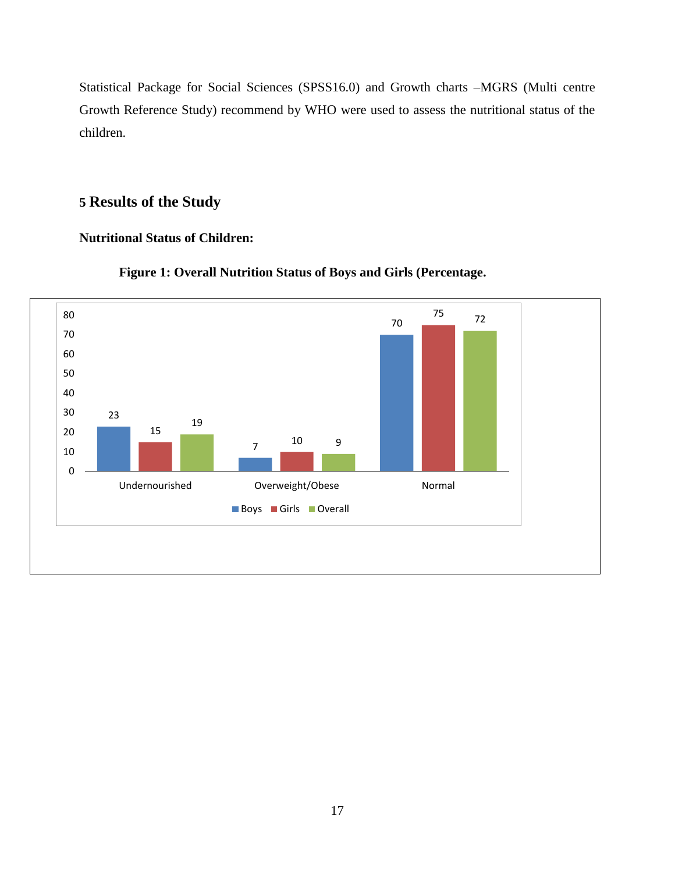Statistical Package for Social Sciences (SPSS16.0) and Growth charts –MGRS (Multi centre Growth Reference Study) recommend by WHO were used to assess the nutritional status of the children.

# **Results of the Study**

## **Nutritional Status of Children:**



## **Figure 1: Overall Nutrition Status of Boys and Girls (Percentage.**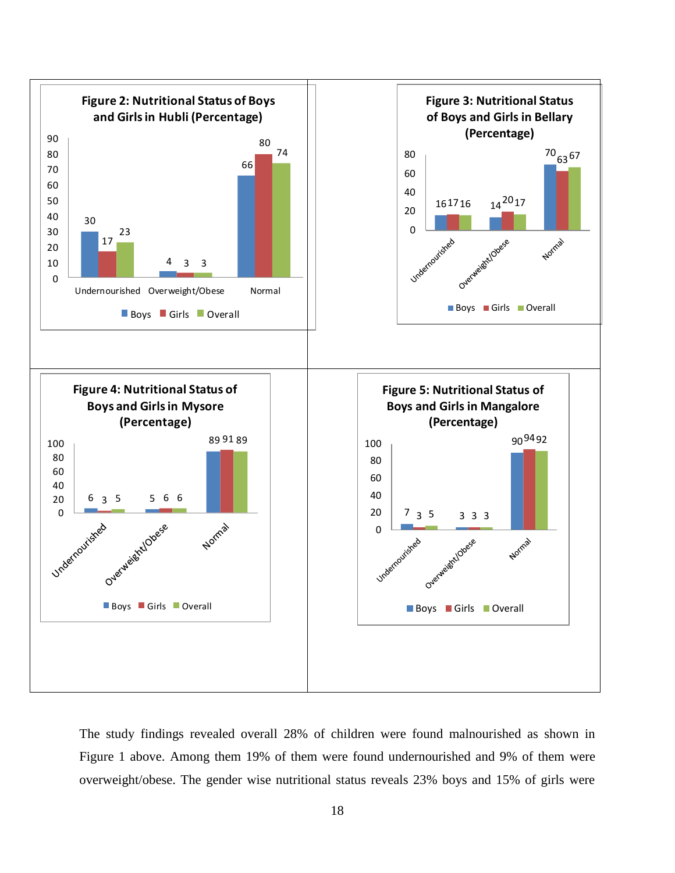

The study findings revealed overall 28% of children were found malnourished as shown in Figure 1 above. Among them 19% of them were found undernourished and 9% of them were overweight/obese. The gender wise nutritional status reveals 23% boys and 15% of girls were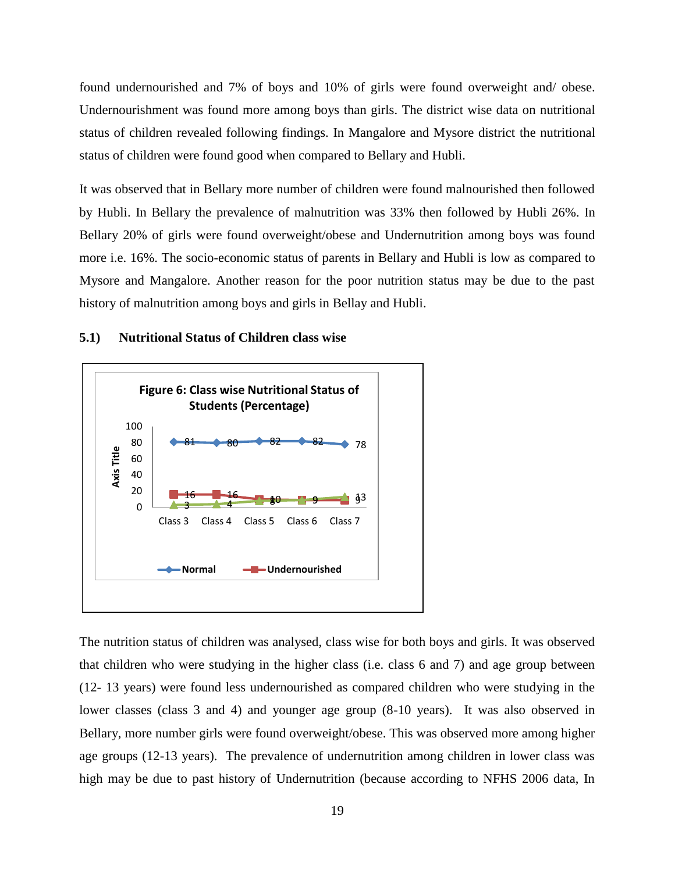found undernourished and 7% of boys and 10% of girls were found overweight and/ obese. Undernourishment was found more among boys than girls. The district wise data on nutritional status of children revealed following findings. In Mangalore and Mysore district the nutritional status of children were found good when compared to Bellary and Hubli.

It was observed that in Bellary more number of children were found malnourished then followed by Hubli. In Bellary the prevalence of malnutrition was 33% then followed by Hubli 26%. In Bellary 20% of girls were found overweight/obese and Undernutrition among boys was found more i.e. 16%. The socio-economic status of parents in Bellary and Hubli is low as compared to Mysore and Mangalore. Another reason for the poor nutrition status may be due to the past history of malnutrition among boys and girls in Bellay and Hubli.



#### **5.1) Nutritional Status of Children class wise**

The nutrition status of children was analysed, class wise for both boys and girls. It was observed that children who were studying in the higher class (i.e. class 6 and 7) and age group between (12- 13 years) were found less undernourished as compared children who were studying in the lower classes (class 3 and 4) and younger age group (8-10 years). It was also observed in Bellary, more number girls were found overweight/obese. This was observed more among higher age groups (12-13 years). The prevalence of undernutrition among children in lower class was high may be due to past history of Undernutrition (because according to NFHS 2006 data, In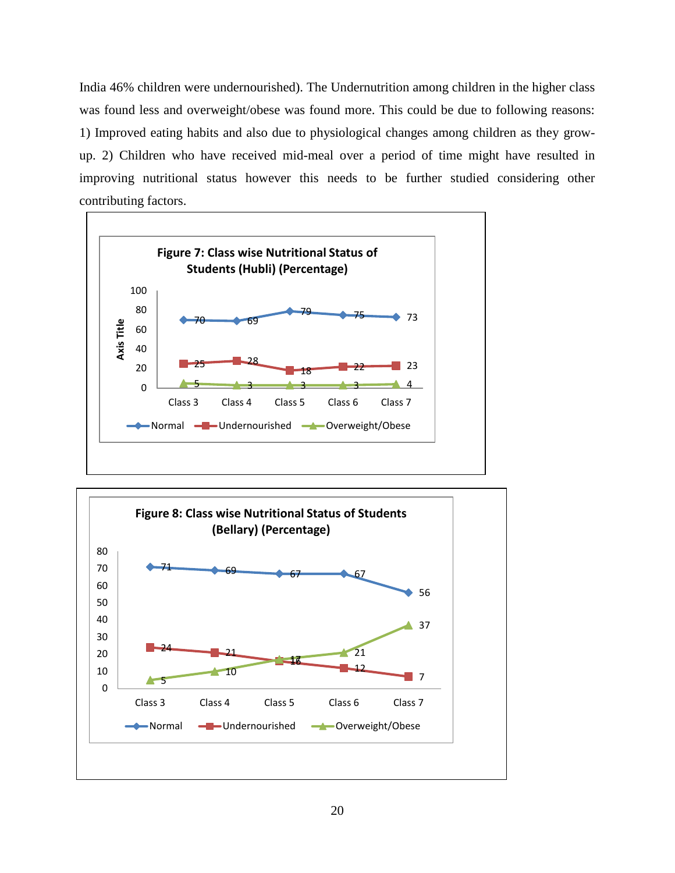India 46% children were undernourished). The Undernutrition among children in the higher class was found less and overweight/obese was found more. This could be due to following reasons: 1) Improved eating habits and also due to physiological changes among children as they growup. 2) Children who have received mid-meal over a period of time might have resulted in improving nutritional status however this needs to be further studied considering other contributing factors.



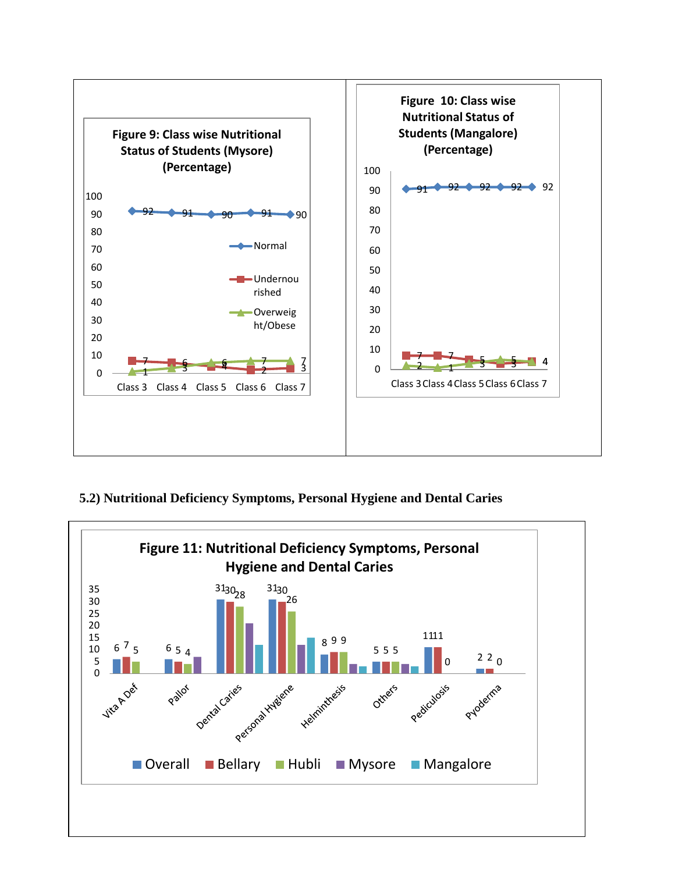

## **5.2) Nutritional Deficiency Symptoms, Personal Hygiene and Dental Caries**

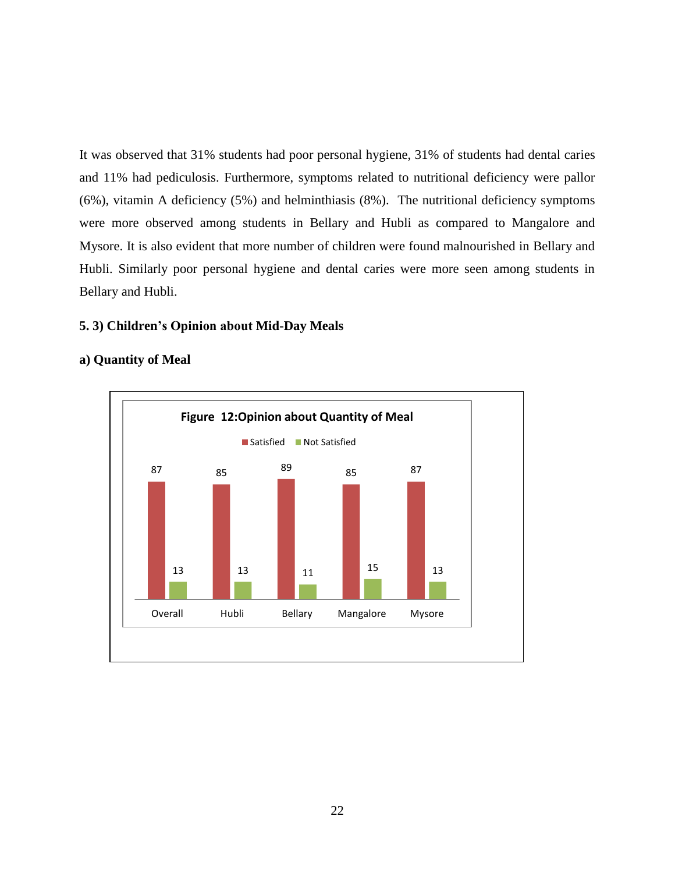It was observed that 31% students had poor personal hygiene, 31% of students had dental caries and 11% had pediculosis. Furthermore, symptoms related to nutritional deficiency were pallor (6%), vitamin A deficiency (5%) and helminthiasis (8%). The nutritional deficiency symptoms were more observed among students in Bellary and Hubli as compared to Mangalore and Mysore. It is also evident that more number of children were found malnourished in Bellary and Hubli. Similarly poor personal hygiene and dental caries were more seen among students in Bellary and Hubli.

#### **5. 3) Children's Opinion about Mid-Day Meals**



#### **a) Quantity of Meal**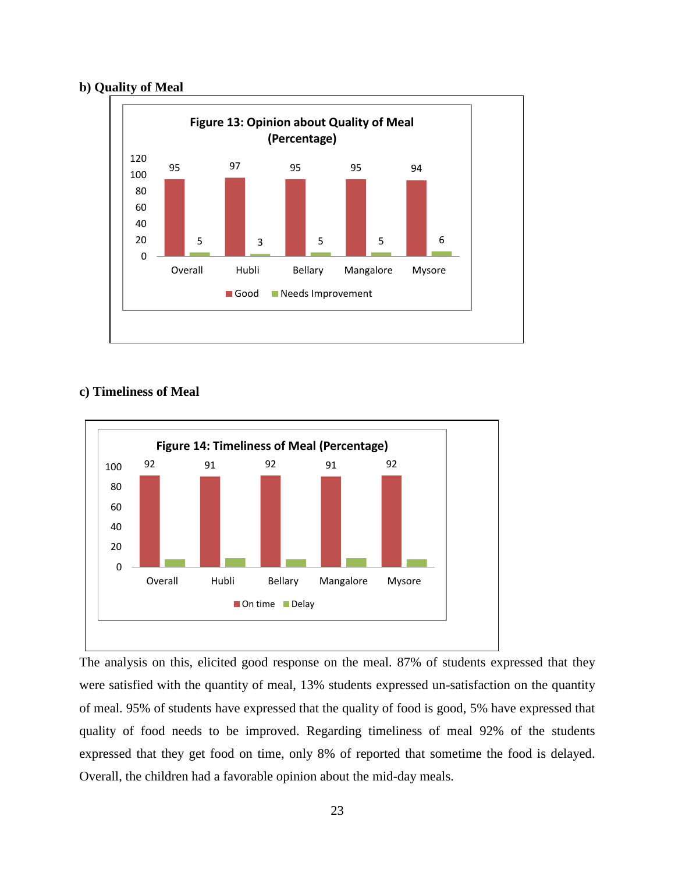## **b) Quality of Meal**



#### **c) Timeliness of Meal**



The analysis on this, elicited good response on the meal. 87% of students expressed that they were satisfied with the quantity of meal, 13% students expressed un-satisfaction on the quantity of meal. 95% of students have expressed that the quality of food is good, 5% have expressed that quality of food needs to be improved. Regarding timeliness of meal 92% of the students expressed that they get food on time, only 8% of reported that sometime the food is delayed. Overall, the children had a favorable opinion about the mid-day meals.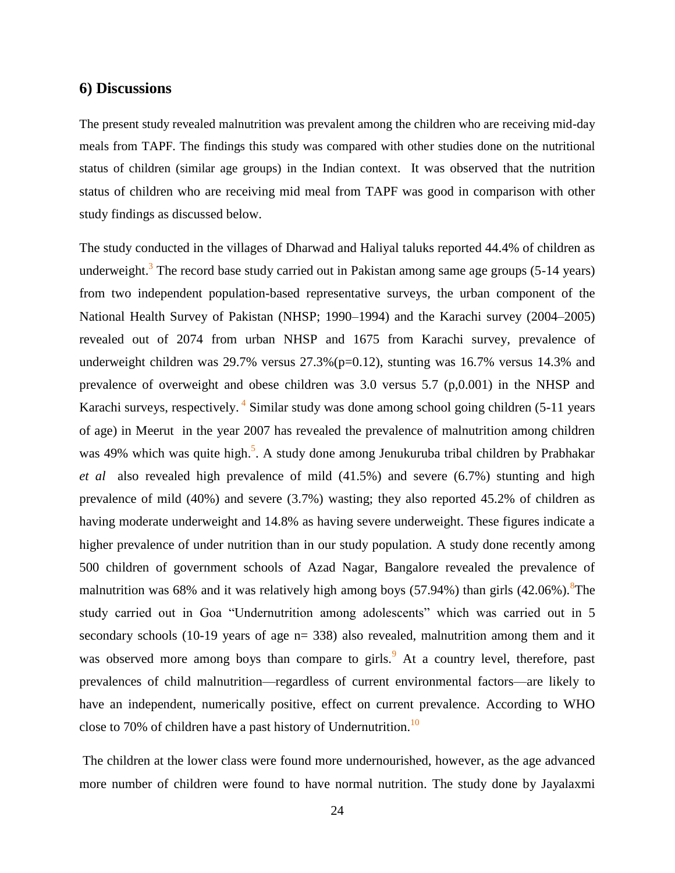#### **6) Discussions**

The present study revealed malnutrition was prevalent among the children who are receiving mid-day meals from TAPF. The findings this study was compared with other studies done on the nutritional status of children (similar age groups) in the Indian context. It was observed that the nutrition status of children who are receiving mid meal from TAPF was good in comparison with other study findings as discussed below.

The study conducted in the villages of Dharwad and Haliyal taluks reported 44.4% of children as underweight.<sup>3</sup> The record base study carried out in Pakistan among same age groups  $(5-14 \text{ years})$ from two independent population-based representative surveys, the urban component of the National Health Survey of Pakistan (NHSP; 1990–1994) and the Karachi survey (2004–2005) revealed out of 2074 from urban NHSP and 1675 from Karachi survey, prevalence of underweight children was  $29.7\%$  versus  $27.3\%$  (p=0.12), stunting was 16.7% versus 14.3% and prevalence of overweight and obese children was 3.0 versus 5.7 (p,0.001) in the NHSP and Karachi surveys, respectively.<sup>4</sup> Similar study was done among school going children (5-11 years of age) in Meerut in the year 2007 has revealed the prevalence of malnutrition among children was 49% which was quite high.<sup>5</sup>. A study done among Jenukuruba tribal children by Prabhakar *et al* also revealed high prevalence of mild (41.5%) and severe (6.7%) stunting and high prevalence of mild (40%) and severe (3.7%) wasting; they also reported 45.2% of children as having moderate underweight and 14.8% as having severe underweight. These figures indicate a higher prevalence of under nutrition than in our study population. A study done recently among 500 children of government schools of Azad Nagar, Bangalore revealed the prevalence of malnutrition was 68% and it was relatively high among boys (57.94%) than girls  $(42.06\%)$ . <sup>8</sup>The study carried out in Goa "Undernutrition among adolescents" which was carried out in 5 secondary schools (10-19 years of age  $n= 338$ ) also revealed, malnutrition among them and it was observed more among boys than compare to girls.<sup>9</sup> At a country level, therefore, past prevalences of child malnutrition—regardless of current environmental factors—are likely to have an independent, numerically positive, effect on current prevalence. According to WHO close to 70% of children have a past history of Undernutrition.<sup>10</sup>

The children at the lower class were found more undernourished, however, as the age advanced more number of children were found to have normal nutrition. The study done by Jayalaxmi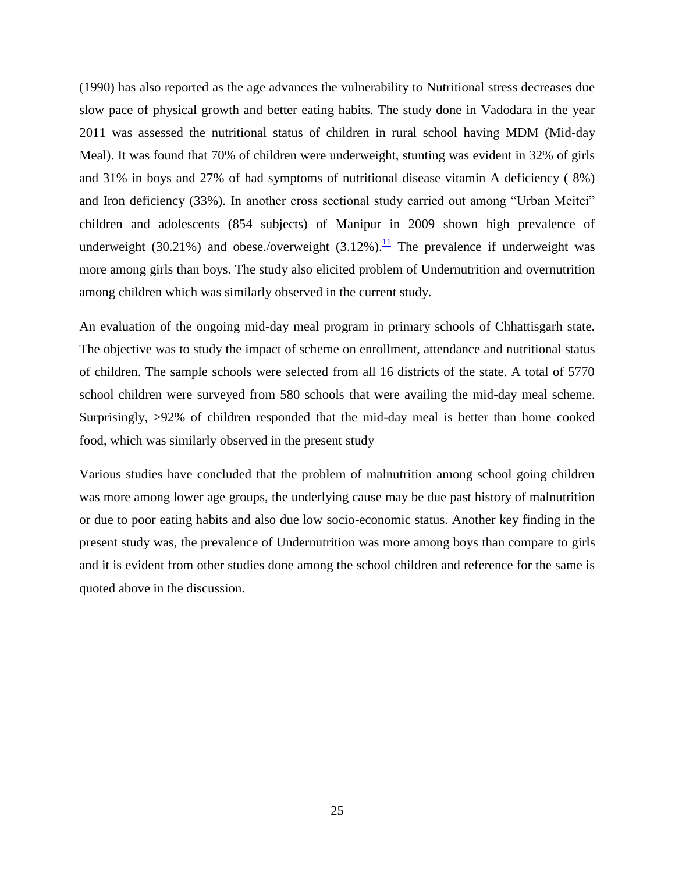(1990) has also reported as the age advances the vulnerability to Nutritional stress decreases due slow pace of physical growth and better eating habits. The study done in Vadodara in the year 2011 was assessed the nutritional status of children in rural school having MDM (Mid-day Meal). It was found that 70% of children were underweight, stunting was evident in 32% of girls and 31% in boys and 27% of had symptoms of nutritional disease vitamin A deficiency ( 8%) and Iron deficiency (33%). In another cross sectional study carried out among "Urban Meitei" children and adolescents (854 subjects) of Manipur in 2009 shown high prevalence of underweight (30.21%) and obese./overweight (3.12%).<sup>[11](http://www.ijnpnd.com/article.asp?issn=2231-0738;year=2012;volume=2;issue=3;spage=233;epage=236;aulast=Kamath#ref8)</sup> The prevalence if underweight was more among girls than boys. The study also elicited problem of Undernutrition and overnutrition among children which was similarly observed in the current study.

An evaluation of the ongoing mid-day meal program in primary schools of Chhattisgarh state. The objective was to study the impact of scheme on enrollment, attendance and nutritional status of children. The sample schools were selected from all 16 districts of the state. A total of 5770 school children were surveyed from 580 schools that were availing the mid-day meal scheme. Surprisingly, >92% of children responded that the mid-day meal is better than home cooked food, which was similarly observed in the present study

Various studies have concluded that the problem of malnutrition among school going children was more among lower age groups, the underlying cause may be due past history of malnutrition or due to poor eating habits and also due low socio-economic status. Another key finding in the present study was, the prevalence of Undernutrition was more among boys than compare to girls and it is evident from other studies done among the school children and reference for the same is quoted above in the discussion.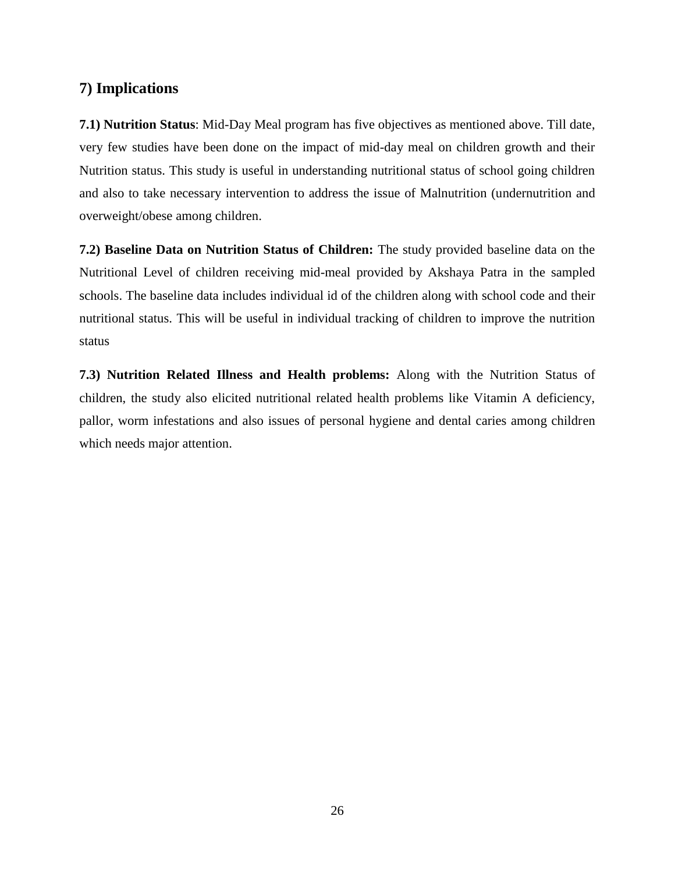## **7) Implications**

**7.1) Nutrition Status**: Mid-Day Meal program has five objectives as mentioned above. Till date, very few studies have been done on the impact of mid-day meal on children growth and their Nutrition status. This study is useful in understanding nutritional status of school going children and also to take necessary intervention to address the issue of Malnutrition (undernutrition and overweight/obese among children.

**7.2) Baseline Data on Nutrition Status of Children:** The study provided baseline data on the Nutritional Level of children receiving mid-meal provided by Akshaya Patra in the sampled schools. The baseline data includes individual id of the children along with school code and their nutritional status. This will be useful in individual tracking of children to improve the nutrition status

**7.3) Nutrition Related Illness and Health problems:** Along with the Nutrition Status of children, the study also elicited nutritional related health problems like Vitamin A deficiency, pallor, worm infestations and also issues of personal hygiene and dental caries among children which needs major attention.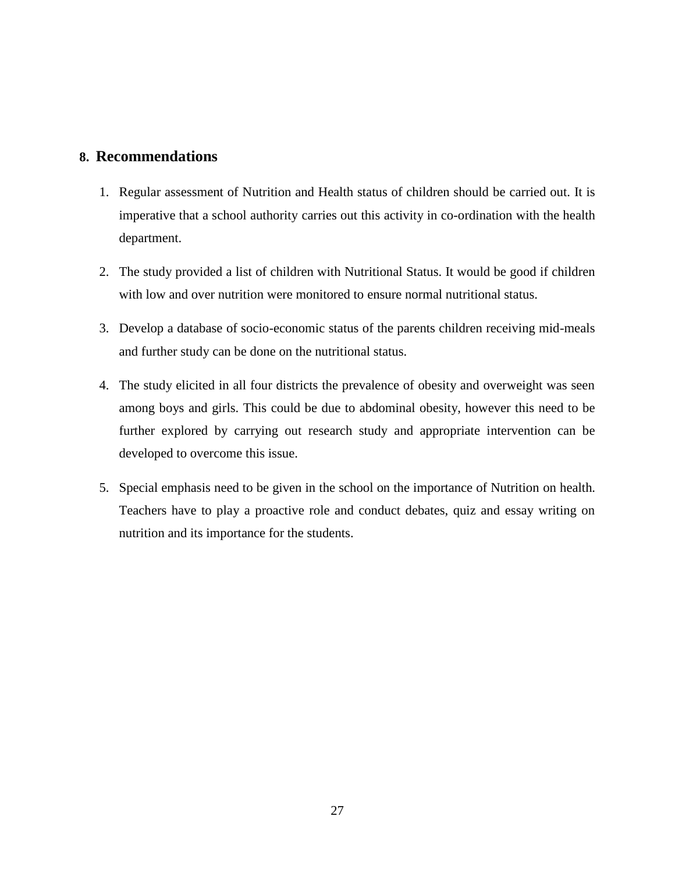## **8. Recommendations**

- 1. Regular assessment of Nutrition and Health status of children should be carried out. It is imperative that a school authority carries out this activity in co-ordination with the health department.
- 2. The study provided a list of children with Nutritional Status. It would be good if children with low and over nutrition were monitored to ensure normal nutritional status.
- 3. Develop a database of socio-economic status of the parents children receiving mid-meals and further study can be done on the nutritional status.
- 4. The study elicited in all four districts the prevalence of obesity and overweight was seen among boys and girls. This could be due to abdominal obesity, however this need to be further explored by carrying out research study and appropriate intervention can be developed to overcome this issue.
- 5. Special emphasis need to be given in the school on the importance of Nutrition on health. Teachers have to play a proactive role and conduct debates, quiz and essay writing on nutrition and its importance for the students.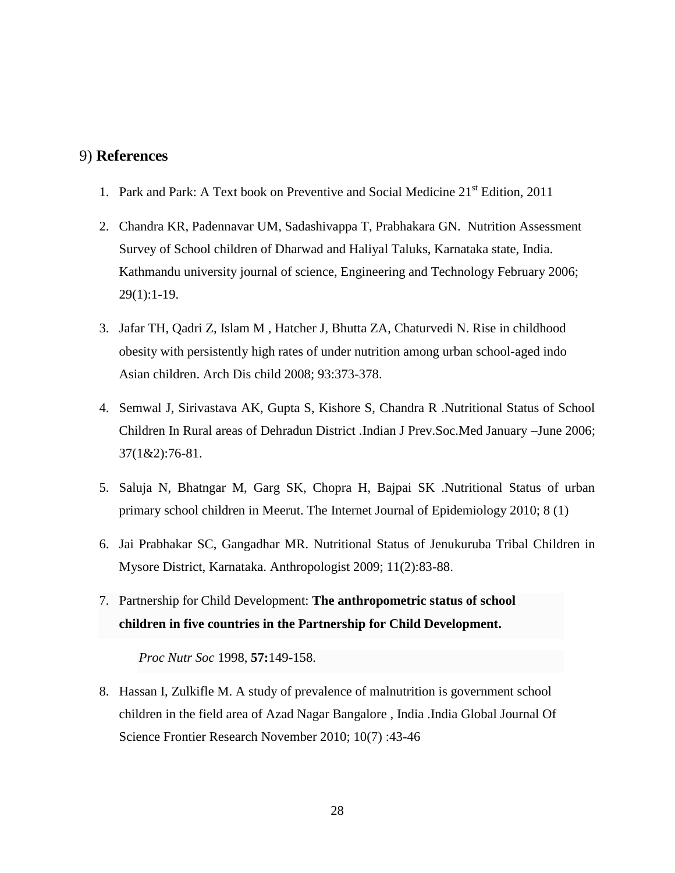## 9) **References**

- 1. Park and Park: A Text book on Preventive and Social Medicine 21<sup>st</sup> Edition, 2011
- 2. Chandra KR, Padennavar UM, Sadashivappa T, Prabhakara GN. Nutrition Assessment Survey of School children of Dharwad and Haliyal Taluks, Karnataka state, India. Kathmandu university journal of science, Engineering and Technology February 2006; 29(1):1-19.
- 3. Jafar TH, Qadri Z, Islam M , Hatcher J, Bhutta ZA, Chaturvedi N. Rise in childhood obesity with persistently high rates of under nutrition among urban school-aged indo Asian children. Arch Dis child 2008; 93:373-378.
- 4. Semwal J, Sirivastava AK, Gupta S, Kishore S, Chandra R .Nutritional Status of School Children In Rural areas of Dehradun District .Indian J Prev.Soc.Med January –June 2006; 37(1&2):76-81.
- 5. Saluja N, Bhatngar M, Garg SK, Chopra H, Bajpai SK .Nutritional Status of urban primary school children in Meerut. The Internet Journal of Epidemiology 2010; 8 (1)
- 6. Jai Prabhakar SC, Gangadhar MR. Nutritional Status of Jenukuruba Tribal Children in Mysore District, Karnataka. Anthropologist 2009; 11(2):83-88.
- 7. Partnership for Child Development: **The anthropometric status of school children in five countries in the Partnership for Child Development.**

*Proc Nutr Soc* 1998, **57:**149-158.

8. Hassan I, Zulkifle M. A study of prevalence of malnutrition is government school children in the field area of Azad Nagar Bangalore , India .India Global Journal Of Science Frontier Research November 2010; 10(7) :43-46